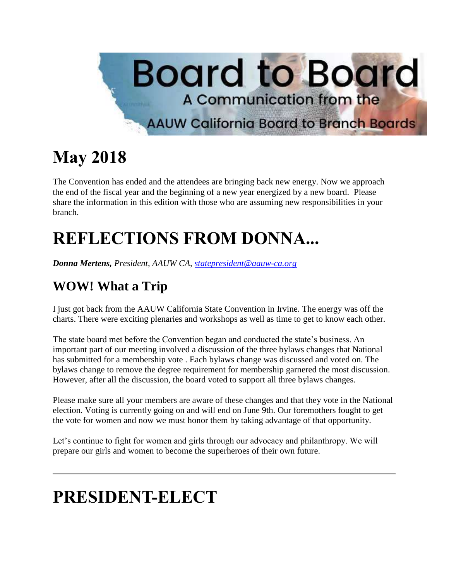

## **May 2018**

The Convention has ended and the attendees are bringing back new energy. Now we approach the end of the fiscal year and the beginning of a new year energized by a new board. Please share the information in this edition with those who are assuming new responsibilities in your branch.

# **REFLECTIONS FROM DONNA...**

*Donna Mertens, President, AAUW CA, [statepresident@aauw-ca.org](mailto:statepresident@aauw-ca.org)*

### **WOW! What a Trip**

I just got back from the AAUW California State Convention in Irvine. The energy was off the charts. There were exciting plenaries and workshops as well as time to get to know each other.

The state board met before the Convention began and conducted the state's business. An important part of our meeting involved a discussion of the three bylaws changes that National has submitted for a membership vote . Each bylaws change was discussed and voted on. The bylaws change to remove the degree requirement for membership garnered the most discussion. However, after all the discussion, the board voted to support all three bylaws changes.

Please make sure all your members are aware of these changes and that they vote in the National election. Voting is currently going on and will end on June 9th. Our foremothers fought to get the vote for women and now we must honor them by taking advantage of that opportunity.

Let's continue to fight for women and girls through our advocacy and philanthropy. We will prepare our girls and women to become the superheroes of their own future.

## **PRESIDENT-ELECT**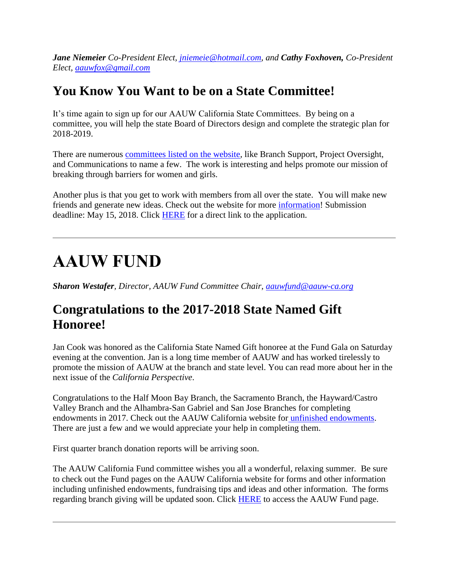*Jane Niemeier Co-President Elect, [jniemeie@hotmail.com,](mailto:jniemeie@hotmail.com) and Cathy Foxhoven, Co-President Elect, [aauwfox@gmail.com](mailto:aauwfox@gmail.com)*

#### **You Know You Want to be on a State Committee!**

It's time again to sign up for our AAUW California State Committees. By being on a committee, you will help the state Board of Directors design and complete the strategic plan for 2018-2019.

There are numerous [committees listed on the website,](http://www.aauw-ca.org/aauw-california-committees/) like Branch Support, Project Oversight, and Communications to name a few. The work is interesting and helps promote our mission of breaking through barriers for women and girls.

Another plus is that you get to work with members from all over the state. You will make new friends and generate new ideas. Check out the website for more [information!](http://www.aauw-ca.org/aauw-california-committees/) Submission deadline: May 15, 2018. Click [HERE](http://www.aauw-ca.org/aauw-california-committees/) for a direct link to the application.

### **AAUW FUND**

*Sharon Westafer, Director, AAUW Fund Committee Chair, [aauwfund@aauw-ca.org](mailto:aauwfund@aauw-ca.org)*

#### **Congratulations to the 2017-2018 State Named Gift Honoree!**

Jan Cook was honored as the California State Named Gift honoree at the Fund Gala on Saturday evening at the convention. Jan is a long time member of AAUW and has worked tirelessly to promote the mission of AAUW at the branch and state level. You can read more about her in the next issue of the *California Perspective*.

Congratulations to the Half Moon Bay Branch, the Sacramento Branch, the Hayward/Castro Valley Branch and the Alhambra-San Gabriel and San Jose Branches for completing endowments in 2017. Check out the AAUW California website for [unfinished endowments.](http://www.aauw-ca.org/documents/2016/10/unfinished-endowments.pdf) There are just a few and we would appreciate your help in completing them.

First quarter branch donation reports will be arriving soon.

The AAUW California Fund committee wishes you all a wonderful, relaxing summer. Be sure to check out the Fund pages on the AAUW California website for forms and other information including unfinished endowments, fundraising tips and ideas and other information. The forms regarding branch giving will be updated soon. Click **HERE** to access the AAUW Fund page.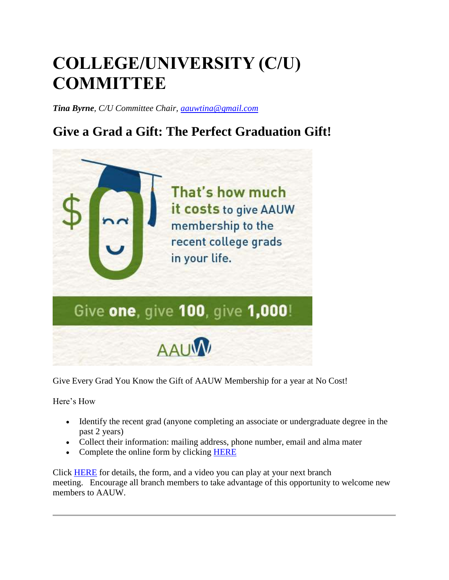## **COLLEGE/UNIVERSITY (C/U) COMMITTEE**

*Tina Byrne, C/U Committee Chair, [aauwtina@gmail.com](mailto:aauwtina@gmail.com)*

### **Give a Grad a Gift: The Perfect Graduation Gift!**



Give Every Grad You Know the Gift of AAUW Membership for a year at No Cost!

Here's How

- Identify the recent grad (anyone completing an associate or undergraduate degree in the past 2 years)
- Collect their information: mailing address, phone number, email and alma mater
- Complete the online form by clicking [HERE](http://www.aauw-ca.org/give-grad-gift/)

Click [HERE](https://www.aauw.org/resource/give-a-grad-a-gift/) for details, the form, and a video you can play at your next branch meeting. Encourage all branch members to take advantage of this opportunity to welcome new members to AAUW.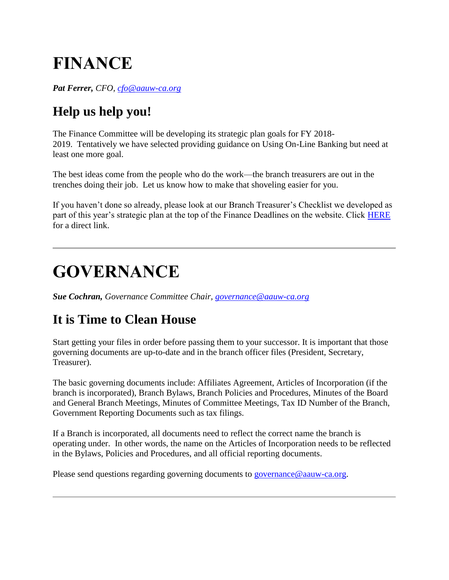## **FINANCE**

*Pat Ferrer, CFO, [cfo@aauw-ca.org](mailto:cfo@aauw-ca.org)*

### **Help us help you!**

The Finance Committee will be developing its strategic plan goals for FY 2018- 2019. Tentatively we have selected providing guidance on Using On-Line Banking but need at least one more goal.

The best ideas come from the people who do the work—the branch treasurers are out in the trenches doing their job. Let us know how to make that shoveling easier for you.

If you haven't done so already, please look at our Branch Treasurer's Checklist we developed as part of this year's strategic plan at the top of the Finance Deadlines on the website. Click [HERE](http://www.aauw-ca.org/financial-documents-deadlines/) for a direct link.

### **GOVERNANCE**

*Sue Cochran, Governance Committee Chair, [governance@aauw-ca.org](mailto:governance@aauw-ca.org)*

#### **It is Time to Clean House**

Start getting your files in order before passing them to your successor. It is important that those governing documents are up-to-date and in the branch officer files (President, Secretary, Treasurer).

The basic governing documents include: Affiliates Agreement, Articles of Incorporation (if the branch is incorporated), Branch Bylaws, Branch Policies and Procedures, Minutes of the Board and General Branch Meetings, Minutes of Committee Meetings, Tax ID Number of the Branch, Government Reporting Documents such as tax filings.

If a Branch is incorporated, all documents need to reflect the correct name the branch is operating under. In other words, the name on the Articles of Incorporation needs to be reflected in the Bylaws, Policies and Procedures, and all official reporting documents.

Please send questions regarding governing documents to [governance@aauw-ca.org.](mailto:governance@aauw-ca.org)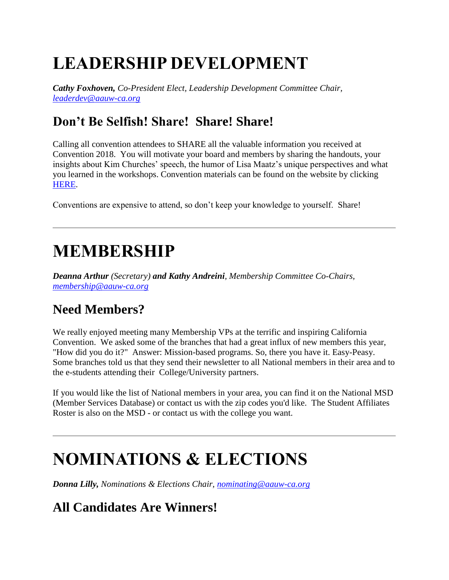# **LEADERSHIP DEVELOPMENT**

*Cathy Foxhoven, Co-President Elect, Leadership Development Committee Chair, [leaderdev@aauw-ca.org](mailto:leaderdev@aauw-ca.org)*

#### **Don't Be Selfish! Share! Share! Share!**

Calling all convention attendees to SHARE all the valuable information you received at Convention 2018. You will motivate your board and members by sharing the handouts, your insights about Kim Churches' speech, the humor of Lisa Maatz's unique perspectives and what you learned in the workshops. Convention materials can be found on the website by clicking [HERE.](http://www.aauw-ca.org/2018-convention-materials/)

Conventions are expensive to attend, so don't keep your knowledge to yourself. Share!

### **MEMBERSHIP**

*Deanna Arthur (Secretary) and Kathy Andreini, Membership Committee Co-Chairs, [membership@aauw-ca.org](mailto:membership@aauw-ca.org)*

#### **Need Members?**

We really enjoyed meeting many Membership VPs at the terrific and inspiring California Convention. We asked some of the branches that had a great influx of new members this year, "How did you do it?" Answer: Mission-based programs. So, there you have it. Easy-Peasy. Some branches told us that they send their newsletter to all National members in their area and to the e-students attending their College/University partners.

If you would like the list of National members in your area, you can find it on the National MSD (Member Services Database) or contact us with the zip codes you'd like. The Student Affiliates Roster is also on the MSD - or contact us with the college you want.

### **NOMINATIONS & ELECTIONS**

*Donna Lilly, Nominations & Elections Chair, [nominating@aauw-ca.org](mailto:nominating@aauw-ca.org)*

### **All Candidates Are Winners!**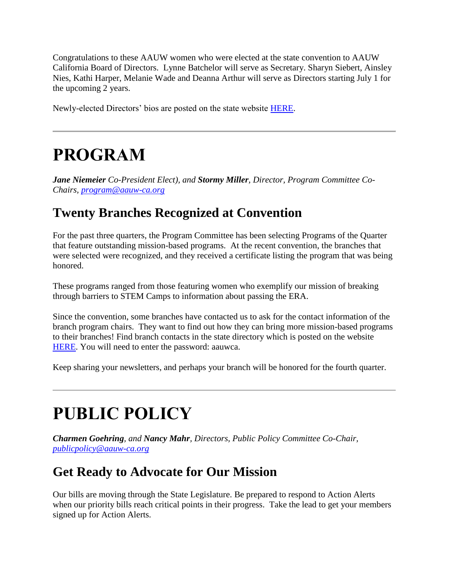Congratulations to these AAUW women who were elected at the state convention to AAUW California Board of Directors. Lynne Batchelor will serve as Secretary. Sharyn Siebert, Ainsley Nies, Kathi Harper, Melanie Wade and Deanna Arthur will serve as Directors starting July 1 for the upcoming 2 years.

Newly-elected Directors' bios are posted on the state website [HERE.](http://www.aauw-ca.org/candidates/)

### **PROGRAM**

*Jane Niemeier Co-President Elect), and Stormy Miller, Director, Program Committee Co-Chairs, [program@aauw-ca.org](mailto:program@aauw-ca.org)*

#### **Twenty Branches Recognized at Convention**

For the past three quarters, the Program Committee has been selecting Programs of the Quarter that feature outstanding mission-based programs. At the recent convention, the branches that were selected were recognized, and they received a certificate listing the program that was being honored.

These programs ranged from those featuring women who exemplify our mission of breaking through barriers to STEM Camps to information about passing the ERA.

Since the convention, some branches have contacted us to ask for the contact information of the branch program chairs. They want to find out how they can bring more mission-based programs to their branches! Find branch contacts in the state directory which is posted on the website [HERE.](http://www.aauw-ca.org/documents/2016/11/state-directory-2.pdf) You will need to enter the password: aauwca.

Keep sharing your newsletters, and perhaps your branch will be honored for the fourth quarter.

# **PUBLIC POLICY**

*Charmen Goehring, and Nancy Mahr, Directors, Public Policy Committee Co-Chair, [publicpolicy@aauw-ca.org](mailto:PublicPolicy@aauw-ca.org)*

#### **Get Ready to Advocate for Our Mission**

Our bills are moving through the State Legislature. Be prepared to respond to Action Alerts when our priority bills reach critical points in their progress. Take the lead to get your members signed up for Action Alerts.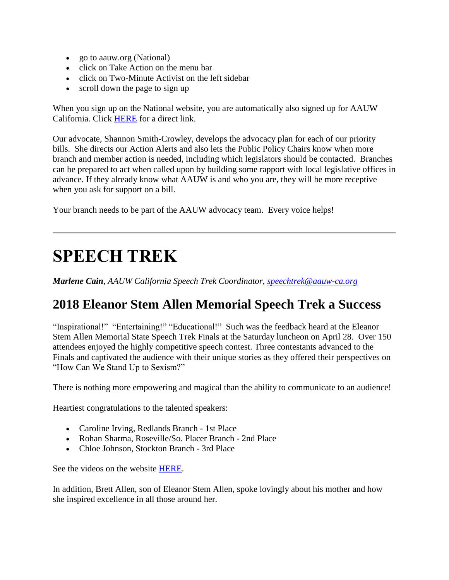- go to aauw.org (National)
- click on Take Action on the menu bar
- click on Two-Minute Activist on the left sidebar
- scroll down the page to sign up

When you sign up on the National website, you are automatically also signed up for AAUW California. Click [HERE](https://www.aauw.org/what-we-do/public-policy/two-minute-activist/) for a direct link.

Our advocate, Shannon Smith-Crowley, develops the advocacy plan for each of our priority bills. She directs our Action Alerts and also lets the Public Policy Chairs know when more branch and member action is needed, including which legislators should be contacted. Branches can be prepared to act when called upon by building some rapport with local legislative offices in advance. If they already know what AAUW is and who you are, they will be more receptive when you ask for support on a bill.

Your branch needs to be part of the AAUW advocacy team. Every voice helps!

### **SPEECH TREK**

*Marlene Cain, AAUW California Speech Trek Coordinator, [speechtrek@aauw-ca.org](mailto:speechtrek@aauw-ca.org)*

#### **2018 Eleanor Stem Allen Memorial Speech Trek a Success**

"Inspirational!" "Entertaining!" "Educational!" Such was the feedback heard at the Eleanor Stem Allen Memorial State Speech Trek Finals at the Saturday luncheon on April 28. Over 150 attendees enjoyed the highly competitive speech contest. Three contestants advanced to the Finals and captivated the audience with their unique stories as they offered their perspectives on "How Can We Stand Up to Sexism?"

There is nothing more empowering and magical than the ability to communicate to an audience!

Heartiest congratulations to the talented speakers:

- Caroline Irving, Redlands Branch 1st Place
- Rohan Sharma, Roseville/So. Placer Branch 2nd Place
- Chloe Johnson, Stockton Branch 3rd Place

See the videos on the website [HERE.](http://www.aauw-ca.org/2018-speech-trek-results/)

In addition, Brett Allen, son of Eleanor Stem Allen, spoke lovingly about his mother and how she inspired excellence in all those around her.